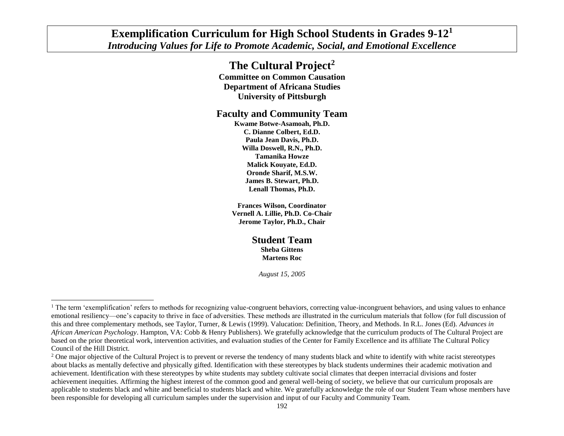## **Exemplification Curriculum for High School Students in Grades 9-12<sup>1</sup>** *Introducing Values for Life to Promote Academic, Social, and Emotional Excellence*

# **The Cultural Project<sup>2</sup>**

**Committee on Common Causation Department of Africana Studies University of Pittsburgh**

## **Faculty and Community Team**

**Kwame Botwe-Asamoah, Ph.D. C. Dianne Colbert, Ed.D. Paula Jean Davis, Ph.D. Willa Doswell, R.N., Ph.D. Tamanika Howze Malick Kouyate, Ed.D. Oronde Sharif, M.S.W. James B. Stewart, Ph.D. Lenall Thomas, Ph.D.**

**Frances Wilson, Coordinator Vernell A. Lillie, Ph.D. Co-Chair Jerome Taylor, Ph.D., Chair**

> **Student Team Sheba Gittens Martens Roc**

> > *August 15, 2005*

l

<sup>&</sup>lt;sup>1</sup> The term 'exemplification' refers to methods for recognizing value-congruent behaviors, correcting value-incongruent behaviors, and using values to enhance emotional resiliency—one's capacity to thrive in face of adversities. These methods are illustrated in the curriculum materials that follow (for full discussion of this and three complementary methods, see Taylor, Turner, & Lewis (1999). Valucation: Definition, Theory, and Methods. In R.L. Jones (Ed). *Advances in African American Psychology*. Hampton, VA: Cobb & Henry Publishers). We gratefully acknowledge that the curriculum products of The Cultural Project are based on the prior theoretical work, intervention activities, and evaluation studies of the Center for Family Excellence and its affiliate The Cultural Policy Council of the Hill District.

<sup>&</sup>lt;sup>2</sup> One major objective of the Cultural Project is to prevent or reverse the tendency of many students black and white to identify with white racist stereotypes about blacks as mentally defective and physically gifted. Identification with these stereotypes by black students undermines their academic motivation and achievement. Identification with these stereotypes by white students may subtlety cultivate social climates that deepen interracial divisions and foster achievement inequities. Affirming the highest interest of the common good and general well-being of society, we believe that our curriculum proposals are applicable to students black and white and beneficial to students black and white. We gratefully acknowledge the role of our Student Team whose members have been responsible for developing all curriculum samples under the supervision and input of our Faculty and Community Team.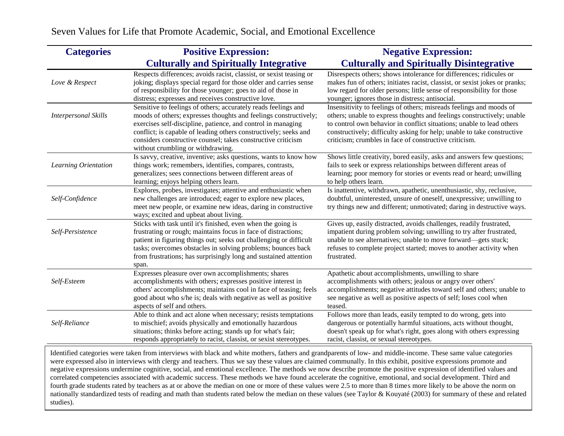| <b>Categories</b>           | <b>Positive Expression:</b>                                                                                                                                                                                                                                                                                                                                                 | <b>Negative Expression:</b>                                                                                                                                                                                                                                                                                                                                 |
|-----------------------------|-----------------------------------------------------------------------------------------------------------------------------------------------------------------------------------------------------------------------------------------------------------------------------------------------------------------------------------------------------------------------------|-------------------------------------------------------------------------------------------------------------------------------------------------------------------------------------------------------------------------------------------------------------------------------------------------------------------------------------------------------------|
|                             | <b>Culturally and Spiritually Integrative</b>                                                                                                                                                                                                                                                                                                                               | <b>Culturally and Spiritually Disintegrative</b>                                                                                                                                                                                                                                                                                                            |
| Love & Respect              | Respects differences; avoids racist, classist, or sexist teasing or<br>joking; displays special regard for those older and carries sense<br>of responsibility for those younger; goes to aid of those in<br>distress; expresses and receives constructive love.                                                                                                             | Disrespects others; shows intolerance for differences; ridicules or<br>makes fun of others; initiates racist, classist, or sexist jokes or pranks;<br>low regard for older persons; little sense of responsibility for those<br>younger; ignores those in distress; antisocial.                                                                             |
| <b>Interpersonal Skills</b> | Sensitive to feelings of others; accurately reads feelings and<br>moods of others; expresses thoughts and feelings constructively;<br>exercises self-discipline, patience, and control in managing<br>conflict; is capable of leading others constructively; seeks and<br>considers constructive counsel; takes constructive criticism<br>without crumbling or withdrawing. | Insensitivity to feelings of others; misreads feelings and moods of<br>others; unable to express thoughts and feelings constructively; unable<br>to control own behavior in conflict situations; unable to lead others<br>constructively; difficulty asking for help; unable to take constructive<br>criticism; crumbles in face of constructive criticism. |
| Learning Orientation        | Is savvy, creative, inventive; asks questions, wants to know how<br>things work; remembers, identifies, compares, contrasts,<br>generalizes; sees connections between different areas of<br>learning; enjoys helping others learn.                                                                                                                                          | Shows little creativity, bored easily, asks and answers few questions;<br>fails to seek or express relationships between different areas of<br>learning; poor memory for stories or events read or heard; unwilling<br>to help others learn.                                                                                                                |
| Self-Confidence             | Explores, probes, investigates; attentive and enthusiastic when<br>new challenges are introduced; eager to explore new places,<br>meet new people, or examine new ideas, daring in constructive<br>ways; excited and upbeat about living.                                                                                                                                   | Is inattentive, withdrawn, apathetic, unenthusiastic, shy, reclusive,<br>doubtful, uninterested, unsure of oneself, unexpressive; unwilling to<br>try things new and different; unmotivated; daring in destructive ways.                                                                                                                                    |
| Self-Persistence            | Sticks with task until it's finished, even when the going is<br>frustrating or rough; maintains focus in face of distractions;<br>patient in figuring things out; seeks out challenging or difficult<br>tasks; overcomes obstacles in solving problems; bounces back<br>from frustrations; has surprisingly long and sustained attention<br>span.                           | Gives up, easily distracted, avoids challenges, readily frustrated,<br>impatient during problem solving; unwilling to try after frustrated,<br>unable to see alternatives; unable to move forward—gets stuck;<br>refuses to complete project started; moves to another activity when<br>frustrated.                                                         |
| Self-Esteem                 | Expresses pleasure over own accomplishments; shares<br>accomplishments with others; expresses positive interest in<br>others' accomplishments; maintains cool in face of teasing; feels<br>good about who s/he is; deals with negative as well as positive<br>aspects of self and others.                                                                                   | Apathetic about accomplishments, unwilling to share<br>accomplishments with others; jealous or angry over others'<br>accomplishments; negative attitudes toward self and others; unable to<br>see negative as well as positive aspects of self; loses cool when<br>teased.                                                                                  |
| Self-Reliance               | Able to think and act alone when necessary; resists temptations<br>to mischief; avoids physically and emotionally hazardous<br>situations; thinks before acting; stands up for what's fair;<br>responds appropriately to racist, classist, or sexist stereotypes.                                                                                                           | Follows more than leads, easily tempted to do wrong, gets into<br>dangerous or potentially harmful situations, acts without thought,<br>doesn't speak up for what's right, goes along with others expressing<br>racist, classist, or sexual stereotypes.                                                                                                    |

Seven Values for Life that Promote Academic, Social, and Emotional Excellence

Identified categories were taken from interviews with black and white mothers, fathers and grandparents of low- and middle-income. These same value categories were expressed also in interviews with clergy and teachers. Thus we say these values are claimed communally. In this exhibit, positive expressions promote and negative expressions undermine cognitive, social, and emotional excellence. The methods we now describe promote the positive expression of identified values and correlated competencies associated with academic success. These methods we have found accelerate the cognitive, emotional, and social development. Third and fourth grade students rated by teachers as at or above the median on one or more of these values were 2.5 to more than 8 times more likely to be above the norm on nationally standardized tests of reading and math than students rated below the median on these values (see Taylor & Kouyaté (2003) for summary of these and related studies).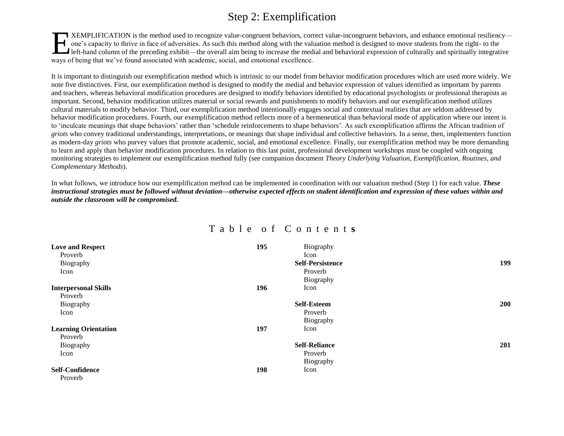# Step 2: Exemplification

XEMPLIFICATION is the method used to recognize value-congruent behaviors, correct value-incongruent behaviors, and enhance emotional resiliency one's capacity to thrive in face of adversities. As such this method along with the valuation method is designed to move students from the right- to the left-hand column of the preceding exhibit—the overall aim being to increase the medial and behavioral expression of culturally and spiritually integrative ways of being that we've found associated with academic, social, and emotional excellence. E

It is important to distinguish our exemplification method which is intrinsic to our model from behavior modification procedures which are used more widely. We note five distinctives. First, our exemplification method is designed to modify the medial and behavior expression of values identified as important by parents and teachers, whereas behavioral modification procedures are designed to modify behaviors identified by educational psychologists or professional therapists as important. Second, behavior modification utilizes material or social rewards and punishments to modify behaviors and our exemplification method utilizes cultural materials to modify behavior. Third, our exemplification method intentionally engages social and contextual realities that are seldom addressed by behavior modification procedures. Fourth, our exemplification method reflects more of a hermeneutical than behavioral mode of application where our intent is to 'inculcate meanings that shape behaviors' rather than 'schedule reinforcements to shape behaviors'. As such exemplification affirms the African tradition of *griots* who convey traditional understandings, interpretations, or meanings that shape individual and collective behaviors. In a sense, then, implementers function as modern-day *griots* who purvey values that promote academic, social, and emotional excellence. Finally, our exemplification method may be more demanding to learn and apply than behavior modification procedures. In relation to this last point, professional development workshops must be coupled with ongoing monitoring strategies to implement our exemplification method fully (see companion document *Theory Underlying Valuation, Exemplification, Routines, and Complementary Methods*).

In what follows, we introduce how our exemplification method can be implemented in coordination with our valuation method (Step 1) for each value. *These instructional strategies must be followed without deviation—otherwise expected effects on student identification and expression of these values within and outside the classroom will be compromised.*

## T a b l e o f C o n t e n t **s**

| <b>Love and Respect</b>     | 195 | Biography               |            |
|-----------------------------|-----|-------------------------|------------|
| Proverb                     |     | Icon                    |            |
| Biography                   |     | <b>Self-Persistence</b> | 199        |
| Icon                        |     | Proverb                 |            |
|                             |     | Biography               |            |
| <b>Interpersonal Skills</b> | 196 | Icon                    |            |
| Proverb                     |     |                         |            |
| Biography                   |     | <b>Self-Esteem</b>      | <b>200</b> |
| Icon                        |     | Proverb                 |            |
|                             |     | Biography               |            |
| <b>Learning Orientation</b> | 197 | Icon                    |            |
| Proverb                     |     |                         |            |
| Biography                   |     | <b>Self-Reliance</b>    | 201        |
| Icon                        |     | Proverb                 |            |
|                             |     | Biography               |            |
| <b>Self-Confidence</b>      | 198 | Icon                    |            |
| Proverb                     |     |                         |            |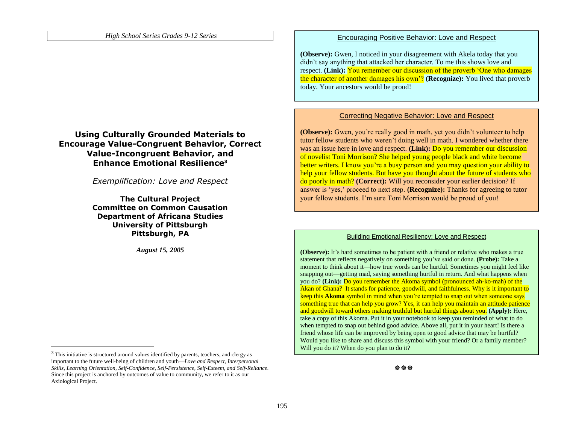## **Using Culturally Grounded Materials to Encourage Value-Congruent Behavior, Correct Value-Incongruent Behavior, and Enhance Emotional Resilience<sup>3</sup>**

*Exemplification: Love and Respect*

**The Cultural Project Committee on Common Causation Department of Africana Studies University of Pittsburgh Pittsburgh, PA**

*August 15, 2005*

 $\overline{a}$ 

#### Encouraging Positive Behavior: Love and Respect

**(Observe):** Gwen, I noticed in your disagreement with Akela today that you didn't say anything that attacked her character. To me this shows love and respect. **(Link):** You remember our discussion of the proverb 'One who damages' the character of another damages his own'? **(Recognize):** You lived that proverb today. Your ancestors would be proud!

#### Correcting Negative Behavior: Love and Respect

**(Observe):** Gwen, you're really good in math, yet you didn't volunteer to help tutor fellow students who weren't doing well in math. I wondered whether there was an issue here in love and respect. **(Link):** Do you remember our discussion of novelist Toni Morrison? She helped young people black and white become better writers. I know you're a busy person and you may question your ability to help your fellow students. But have you thought about the future of students who do poorly in math? **(Correct):** Will you reconsider your earlier decision? If answer is 'yes,' proceed to next step. **(Recognize):** Thanks for agreeing to tutor your fellow students. I'm sure Toni Morrison would be proud of you!

#### Building Emotional Resiliency: Love and Respect

**(Observe):** It's hard sometimes to be patient with a friend or relative who makes a true statement that reflects negatively on something you've said or done. **(Probe):** Take a moment to think about it—how true words can be hurtful. Sometimes you might feel like snapping out—getting mad, saying something hurtful in return. And what happens when you do? **(Link):** Do you remember the Akoma symbol (pronounced ah-ko-mah) of the Akan of Ghana? It stands for patience, goodwill, and faithfulness. Why is it important to keep this **Akoma** symbol in mind when you're tempted to snap out when someone says something true that can help you grow? Yes, it can help you maintain an attitude patience and goodwill toward others making truthful but hurtful things about you. **(Apply):** Here, take a copy of this Akoma. Put it in your notebook to keep you reminded of what to do when tempted to snap out behind good advice. Above all, put it in your heart! Is there a friend whose life can be improved by being open to good advice that may be hurtful? Would you like to share and discuss this symbol with your friend? Or a family member? Will you do it? When do you plan to do it?

<sup>&</sup>lt;sup>3</sup> This initiative is structured around values identified by parents, teachers, and clergy as important to the future well-being of children and youth—*Love and Respect, Interpersonal Skills, Learning Orientation, Self-Confidence, Self-Persistence, Self-Esteem, and Self-Reliance*. Since this project is anchored by outcomes of value to community, we refer to it as our Axiological Project.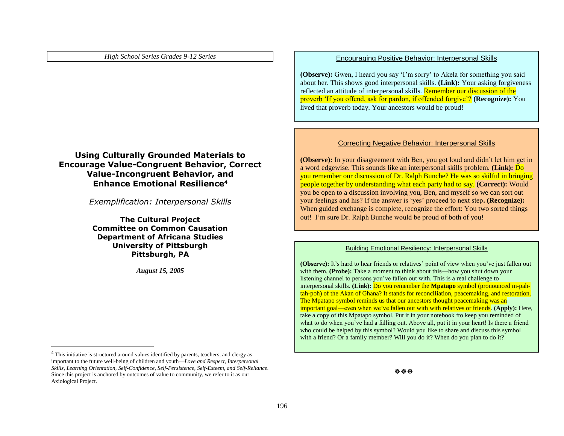## **Using Culturally Grounded Materials to Encourage Value-Congruent Behavior, Correct Value-Incongruent Behavior, and Enhance Emotional Resilience<sup>4</sup>**

*Exemplification: Interpersonal Skills*

**The Cultural Project Committee on Common Causation Department of Africana Studies University of Pittsburgh Pittsburgh, PA**

*August 15, 2005*

 $\overline{a}$ 

#### Encouraging Positive Behavior: Interpersonal Skills

**(Observe):** Gwen, I heard you say 'I'm sorry' to Akela for something you said about her. This shows good interpersonal skills. **(Link):** Your asking forgiveness reflected an attitude of interpersonal skills. Remember our discussion of the proverb 'If you offend, ask for pardon, if offended forgive'? **(Recognize):** You lived that proverb today. Your ancestors would be proud!

#### Correcting Negative Behavior: Interpersonal Skills

**(Observe):** In your disagreement with Ben, you got loud and didn't let him get in a word edgewise. This sounds like an interpersonal skills problem. **(Link):** Do you remember our discussion of Dr. Ralph Bunche? He was so skilful in bringing people together by understanding what each party had to say. **(Correct):** Would you be open to a discussion involving you, Ben, and myself so we can sort out your feelings and his? If the answer is 'yes' proceed to next step**. (Recognize):** When guided exchange is complete, recognize the effort: You two sorted things out! I'm sure Dr. Ralph Bunche would be proud of both of you!

#### Building Emotional Resiliency: Interpersonal Skills

**(Observe):** It's hard to hear friends or relatives' point of view when you've just fallen out with them. **(Probe):** Take a moment to think about this—how you shut down your listening channel to persons you've fallen out with. This is a real challenge to interpersonal skills. **(Link):** Do you remember the **Mpatapo** symbol (pronounced m-pahtah-poh) of the Akan of Ghana? It stands for reconciliation, peacemaking, and restoration. The Mpatapo symbol reminds us that our ancestors thought peacemaking was an important goal—even when we've fallen out with with relatives or friends. **(Apply):** Here, take a copy of this Mpatapo symbol. Put it in your notebook fto keep you reminded of what to do when you've had a falling out. Above all, put it in your heart! Is there a friend who could be helped by this symbol? Would you like to share and discuss this symbol with a friend? Or a family member? Will you do it? When do you plan to do it?

 $\mathbb{R}^n$ 

<sup>&</sup>lt;sup>4</sup> This initiative is structured around values identified by parents, teachers, and clergy as important to the future well-being of children and youth—*Love and Respect, Interpersonal Skills, Learning Orientation, Self-Confidence, Self-Persistence, Self-Esteem, and Self-Reliance*. Since this project is anchored by outcomes of value to community, we refer to it as our Axiological Project.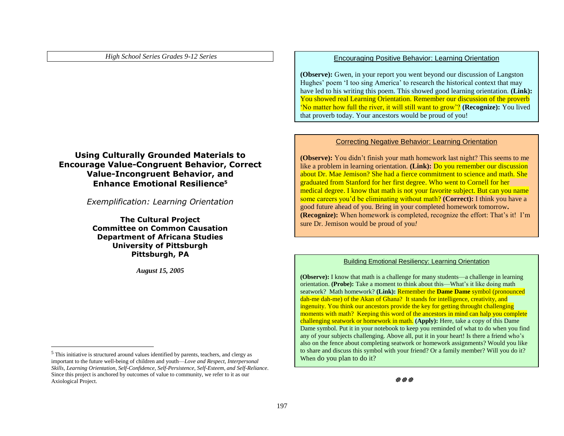## **Using Culturally Grounded Materials to Encourage Value-Congruent Behavior, Correct Value-Incongruent Behavior, and Enhance Emotional Resilience<sup>5</sup>**

*Exemplification: Learning Orientation*

**The Cultural Project Committee on Common Causation Department of Africana Studies University of Pittsburgh Pittsburgh, PA**

*August 15, 2005*

 $\overline{a}$ 

#### Encouraging Positive Behavior: Learning Orientation

**(Observe):** Gwen, in your report you went beyond our discussion of Langston Hughes' poem 'I too sing America' to research the historical context that may have led to his writing this poem. This showed good learning orientation. **(Link):** You showed real Learning Orientation. Remember our discussion of the proverb 'No matter how full the river, it will still want to grow'? **(Recognize):** You lived that proverb today. Your ancestors would be proud of you!

#### Correcting Negative Behavior: Learning Orientation

**(Observe):** You didn't finish your math homework last night? This seems to me like a problem in learning orientation. **(Link):** Do you remember our discussion about Dr. Mae Jemison? She had a fierce commitment to science and math. She graduated from Stanford for her first degree. Who went to Cornell for her medical degree. I know that math is not your favorite subject. But can you name some careers you'd be eliminating without math? **(Correct):** I think you have a good future ahead of you. Bring in your completed homework tomorrow**. (Recognize):** When homework is completed, recognize the effort: That's it! I'm sure Dr. Jemison would be proud of you*!*

#### Building Emotional Resiliency: Learning Orientation

**(Observe):** I know that math is a challenge for many students—a challenge in learning orientation. **(Probe):** Take a moment to think about this—What's it like doing math seatwork? Math homework? **(Link):** Remember the **Dame Dame** symbol (pronounced dah-me dah-me) of the Akan of Ghana? It stands for intelligence, creativity, and ingenuity. You think our ancestors provide the key for getting throught challenging moments with math? Keeping this word of the ancestors in mind can halp you complete challenging seatwork or homework in math. **(Apply):** Here, take a copy of this Dame Dame symbol. Put it in your notebook to keep you reminded of what to do when you find any of your subjects challenging. Above all, put it in your heart! Is there a friend who's also on the fence about completing seatwork or homework assignments? Would you like to share and discuss this symbol with your friend? Or a family member? Will you do it? When do you plan to do it?

 $\mathbb{R}^n$ 

<sup>5</sup> This initiative is structured around values identified by parents, teachers, and clergy as important to the future well-being of children and youth—*Love and Respect, Interpersonal Skills, Learning Orientation, Self-Confidence, Self-Persistence, Self-Esteem, and Self-Reliance*. Since this project is anchored by outcomes of value to community, we refer to it as our Axiological Project.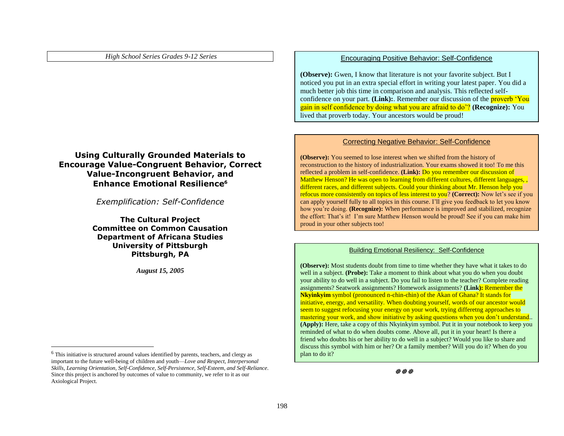## **Using Culturally Grounded Materials to Encourage Value-Congruent Behavior, Correct Value-Incongruent Behavior, and Enhance Emotional Resilience<sup>6</sup>**

*Exemplification: Self-Confidence*

**The Cultural Project Committee on Common Causation Department of Africana Studies University of Pittsburgh Pittsburgh, PA**

*August 15, 2005*

 $\overline{a}$ 

#### Encouraging Positive Behavior: Self-Confidence

**(Observe):** Gwen, I know that literature is not your favorite subject. But I noticed you put in an extra special effort in writing your latest paper. You did a much better job this time in comparison and analysis. This reflected selfconfidence on your part. **(Link):**. Remember our discussion of the **proverb** 'You gain in self confidence by doing what you are afraid to do'? **(Recognize):** You lived that proverb today. Your ancestors would be proud!

#### Correcting Negative Behavior: Self-Confidence

**(Observe):** You seemed to lose interest when we shifted from the history of reconstruction to the history of industrialization. Your exams showed it too! To me this reflected a problem in self-confidence. **(Link):** Do you remember our discussion of Matthew Henson? He was open to learning from different cultures, different languages, different races, and different subjects. Could your thinking about Mr. Henson help you refocus more consistently on topics of less interest to you? **(Correct):** Now let's see if you can apply yourself fully to all topics in this course. I'll give you feedback to let you know how you're doing. **(Recognize):** When performance is improved and stabilized, recognize the effort: That's it! I'm sure Matthew Henson would be proud! See if you can make him proud in your other subjects too!

#### Building Emotional Resiliency: Self-Confidence

**(Observe):** Most students doubt from time to time whether they have what it takes to do well in a subject. **(Probe):** Take a moment to think about what you do when you doubt your ability to do well in a subject. Do you fail to listen to the teacher? Complete reading assignments? Seatwork assignments? Homework assignments? **(Link):** Remember the **Nkyinkyim** symbol (pronounced n-chin-chin) of the Akan of Ghana? It stands for initiative, energy, and versatility. When doubting yourself, words of our ancestor would seem to suggest refocusing your energy on your work, trying differetng approaches to mastering your work, and show initiative by asking questions when you don't understand.. **(Apply):** Here, take a copy of this Nkyinkyim symbol. Put it in your notebook to keep you reminded of what to do when doubts come. Above all, put it in your heart! Is there a friend who doubts his or her ability to do well in a subject? Would you like to share and discuss this symbol with him or her? Or a family member? Will you do it? When do you plan to do it?

 $\mathbb{R}^n$ 

<sup>6</sup> This initiative is structured around values identified by parents, teachers, and clergy as important to the future well-being of children and youth—*Love and Respect, Interpersonal Skills, Learning Orientation, Self-Confidence, Self-Persistence, Self-Esteem, and Self-Reliance*. Since this project is anchored by outcomes of value to community, we refer to it as our Axiological Project.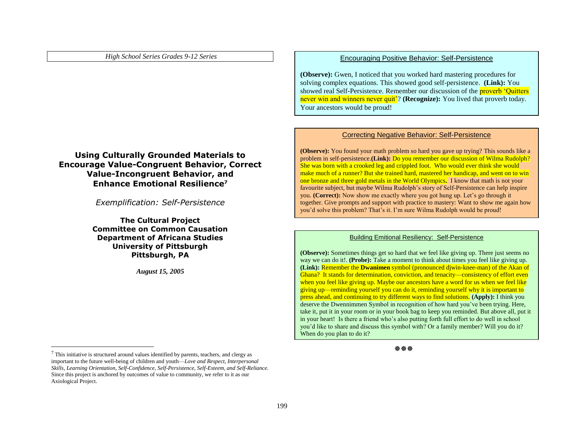## **Using Culturally Grounded Materials to Encourage Value-Congruent Behavior, Correct Value-Incongruent Behavior, and Enhance Emotional Resilience<sup>7</sup>**

*Exemplification: Self-Persistence*

**The Cultural Project Committee on Common Causation Department of Africana Studies University of Pittsburgh Pittsburgh, PA**

*August 15, 2005*

Encouraging Positive Behavior: Self-Persistence

**(Observe):** Gwen, I noticed that you worked hard mastering procedures for solving complex equations. This showed good self-persistence. **(Link):** You showed real Self-Persistence. Remember our discussion of the **proverb** 'Quitters' never win and winners never quit'? **(Recognize):** You lived that proverb today. Your ancestors would be proud!

#### Correcting Negative Behavior: Self-Persistence

**(Observe):** You found your math problem so hard you gave up trying? This sounds like a problem in self-persistence.**(Link):** Do you remember our discussion of Wilma Rudolph? She was born with a crooked leg and crippled foot. Who would ever think she would make much of a runner? But she trained hard, mastered her handicap, and went on to win one bronze and three gold metals in the World Olympics**.** I know that math is not your favourite subject, but maybe Wilma Rudolph's story of Self-Persistence can help inspire you. **(Correct):** Now show me exactly where you got hung up. Let's go through it together. Give prompts and support with practice to mastery: Want to show me again how you'd solve this problem? That's it. I'm sure Wilma Rudolph would be proud!

#### Building Emitional Resiliency: Self-Persistence

**(Observe):** Sometimes things get so hard that we feel like giving up. There just seems no way we can do it!. **(Probe):** Take a moment to think about times you feel like giving up. **(Link):** Remember the **Dwanimen** symbol (pronounced djwin-knee-man) of the Akan of Ghana? It stands for determination, conviction, and tenacity—consistency of effort even when you feel like giving up. Maybe our ancestors have a word for us when we feel like giving up—reminding yourself you can do it, reminding yourself why it is important to press ahead, and continuing to try different ways to find solutions. **(Apply):** I think you deserve the Dwennimmen Symbol in recognition of how hard you've been trying. Here, take it, put it in your room or in your book bag to keep you reminded. But above all, put it in your heart! Is there a friend who's also putting forth full effort to do well in school you'd like to share and discuss this symbol with? Or a family member? Will you do it? When do you plan to do it?

\*\*\*

 $\overline{a}$ 

 $<sup>7</sup>$  This initiative is structured around values identified by parents, teachers, and clergy as</sup> important to the future well-being of children and youth—*Love and Respect, Interpersonal Skills, Learning Orientation, Self-Confidence, Self-Persistence, Self-Esteem, and Self-Reliance*. Since this project is anchored by outcomes of value to community, we refer to it as our Axiological Project.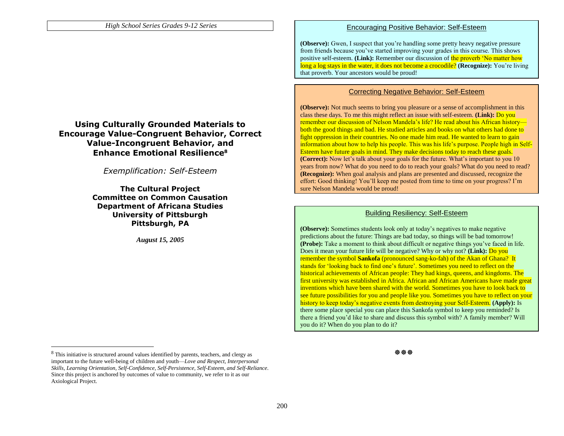### **Using Culturally Grounded Materials to Encourage Value-Congruent Behavior, Correct Value-Incongruent Behavior, and Enhance Emotional Resilience<sup>8</sup>**

*Exemplification: Self-Esteem*

**The Cultural Project Committee on Common Causation Department of Africana Studies University of Pittsburgh Pittsburgh, PA**

*August 15, 2005*

#### Encouraging Positive Behavior: Self-Esteem

**(Observe):** Gwen, I suspect that you're handling some pretty heavy negative pressure from friends because you've started improving your grades in this course. This shows positive self-esteem. **(Link):** Remember our discussion of the proverb 'No matter how long a log stays in the water, it does not become a crocodile? **(Recognize):** You're living that proverb. Your ancestors would be proud!

#### Correcting Negative Behavior: Self-Esteem

**(Observe):** Not much seems to bring you pleasure or a sense of accomplishment in this class these days. To me this might reflect an issue with self-esteem. **(Link):** Do you remember our discussion of Nelson Mandela's life? He read about his African history both the good things and bad. He studied articles and books on what others had done to fight oppression in their countries. No one made him read. He wanted to learn to gain information about how to help his people. This was his life's purpose. People high in Self-Esteem have future goals in mind. They make decisions today to reach these goals. **(Correct):** Now let's talk about your goals for the future. What's important to you 10 years from now? What do you need to do to reach your goals? What do you need to read? **(Recognize):** When goal analysis and plans are presented and discussed, recognize the effort: Good thinking! You'll keep me posted from time to time on your progress? I'm sure Nelson Mandela would be proud!

#### Building Resiliency: Self-Esteem

**(Observe):** Sometimes students look only at today's negatives to make negative predictions about the future: Things are bad today, so things will be bad tomorrow! **(Probe):** Take a moment to think about difficult or negative things you've faced in life. Does it mean your future life will be negative? Why or why not? **(Link):** Do you remember the symbol **Sankofa** (pronounced sang-ko-fah) of the Akan of Ghana? It stands for 'looking back to find one's future'. Sometimes you need to reflect on the historical achievements of African people: They had kings, queens, and kingdoms. The first university was established in Africa. African and African Americans have made great inventions which have been shared with the world. Sometimes you have to look back to see future possibilities for you and people like you. Sometimes you have to reflect on your history to keep today's negative events from destroying your Self-Esteem. **(Apply):** Is there some place special you can place this Sankofa symbol to keep you reminded? Is there a friend you'd like to share and discuss this symbol with? A family member? Will you do it? When do you plan to do it?

 $\overline{a}$ 

<sup>8</sup> This initiative is structured around values identified by parents, teachers, and clergy as important to the future well-being of children and youth—*Love and Respect, Interpersonal Skills, Learning Orientation, Self-Confidence, Self-Persistence, Self-Esteem, and Self-Reliance*. Since this project is anchored by outcomes of value to community, we refer to it as our Axiological Project.